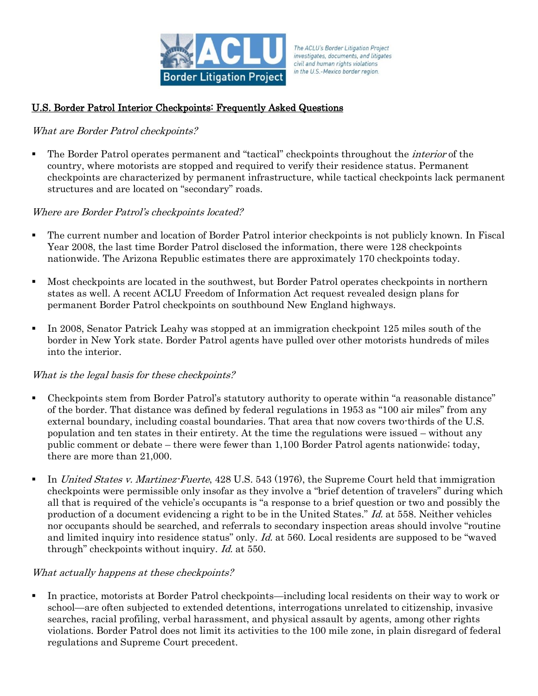

The ACLU's Border Litigation Project investigates, documents, and litigates civil and human rights violations in the U.S.-Mexico border region.

# U.S. Border Patrol Interior Checkpoints: Frequently Asked Questions

### What are Border Patrol checkpoints?

The Border Patrol operates permanent and "tactical" checkpoints throughout the *interior* of the country, where motorists are stopped and required to verify their residence status. Permanent checkpoints are characterized by permanent infrastructure, while tactical checkpoints lack permanent structures and are located on "secondary" roads.

### Where are Border Patrol's checkpoints located?

- The current number and location of Border Patrol interior checkpoints is not publicly known. In Fiscal Year 2008, the last time Border Patrol disclosed the information, there were 128 checkpoints nationwide. The Arizona Republic estimates there are approximately 170 checkpoints today.
- Most checkpoints are located in the southwest, but Border Patrol operates checkpoints in northern states as well. A recent ACLU Freedom of Information Act request revealed design plans for permanent Border Patrol checkpoints on southbound New England highways.
- In 2008, Senator Patrick Leahy was stopped at an immigration checkpoint 125 miles south of the border in New York state. Border Patrol agents have pulled over other motorists hundreds of miles into the interior.

#### What is the legal basis for these checkpoints?

- Checkpoints stem from Border Patrol's statutory authority to operate within "a reasonable distance" of the border. That distance was defined by federal regulations in 1953 as "100 air miles" from any external boundary, including coastal boundaries. That area that now covers two-thirds of the U.S. population and ten states in their entirety. At the time the regulations were issued – without any public comment or debate – there were fewer than 1,100 Border Patrol agents nationwide; today, there are more than 21,000.
- In United States v. Martinez-Fuerte, 428 U.S. 543 (1976), the Supreme Court held that immigration checkpoints were permissible only insofar as they involve a "brief detention of travelers" during which all that is required of the vehicle's occupants is "a response to a brief question or two and possibly the production of a document evidencing a right to be in the United States." Id. at 558. Neither vehicles nor occupants should be searched, and referrals to secondary inspection areas should involve "routine and limited inquiry into residence status" only. *Id.* at 560. Local residents are supposed to be "waved" through" checkpoints without inquiry. Id. at 550.

#### What actually happens at these checkpoints?

 In practice, motorists at Border Patrol checkpoints—including local residents on their way to work or school—are often subjected to extended detentions, interrogations unrelated to citizenship, invasive searches, racial profiling, verbal harassment, and physical assault by agents, among other rights violations. Border Patrol does not limit its activities to the 100 mile zone, in plain disregard of federal regulations and Supreme Court precedent.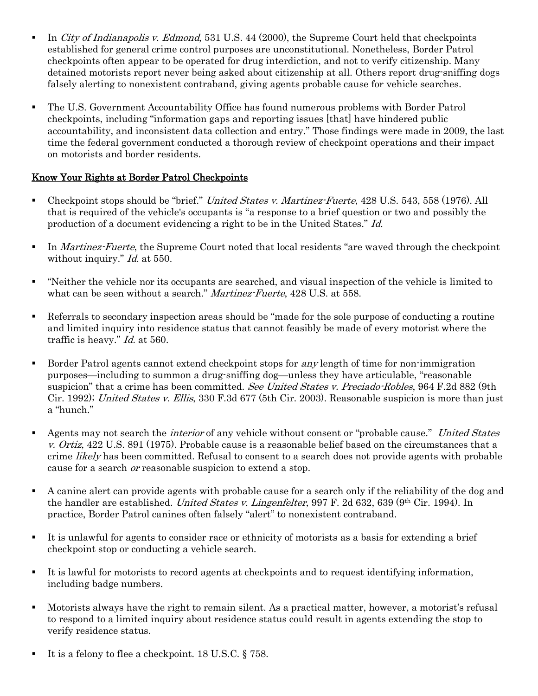- In City of Indianapolis v. Edmond, 531 U.S.  $44$  (2000), the Supreme Court held that checkpoints established for general crime control purposes are unconstitutional. Nonetheless, Border Patrol checkpoints often appear to be operated for drug interdiction, and not to verify citizenship. Many detained motorists report never being asked about citizenship at all. Others report drug-sniffing dogs falsely alerting to nonexistent contraband, giving agents probable cause for vehicle searches.
- The U.S. Government Accountability Office has found numerous problems with Border Patrol checkpoints, including "information gaps and reporting issues [that] have hindered public accountability, and inconsistent data collection and entry." Those findings were made in 2009, the last time the federal government conducted a thorough review of checkpoint operations and their impact on motorists and border residents.

## Know Your Rights at Border Patrol Checkpoints

- Checkpoint stops should be "brief." United States v. Martinez-Fuerte, 428 U.S. 543, 558 (1976). All that is required of the vehicle's occupants is "a response to a brief question or two and possibly the production of a document evidencing a right to be in the United States." Id.
- In Martinez-Fuerte, the Supreme Court noted that local residents "are waved through the checkpoint" without inquiry." *Id.* at 550.
- "Neither the vehicle nor its occupants are searched, and visual inspection of the vehicle is limited to what can be seen without a search." Martinez-Fuerte, 428 U.S. at 558.
- Referrals to secondary inspection areas should be "made for the sole purpose of conducting a routine and limited inquiry into residence status that cannot feasibly be made of every motorist where the traffic is heavy." Id. at 560.
- Border Patrol agents cannot extend checkpoint stops for *any* length of time for non-immigration purposes—including to summon a drug-sniffing dog—unless they have articulable, "reasonable suspicion" that a crime has been committed. See United States v. Preciado-Robles, 964 F.2d 882 (9th Cir. 1992); United States v. Ellis, 330 F.3d 677 (5th Cir. 2003). Reasonable suspicion is more than just a "hunch."
- **Agents may not search the** *interior* **of any vehicle without consent or "probable cause."** United States v. Ortiz, 422 U.S. 891 (1975). Probable cause is a reasonable belief based on the circumstances that a crime *likely* has been committed. Refusal to consent to a search does not provide agents with probable cause for a search or reasonable suspicion to extend a stop.
- A canine alert can provide agents with probable cause for a search only if the reliability of the dog and the handler are established. United States v. Lingenfelter, 997 F. 2d 632, 639 (9th Cir. 1994). In practice, Border Patrol canines often falsely "alert" to nonexistent contraband.
- It is unlawful for agents to consider race or ethnicity of motorists as a basis for extending a brief checkpoint stop or conducting a vehicle search.
- It is lawful for motorists to record agents at checkpoints and to request identifying information, including badge numbers.
- Motorists always have the right to remain silent. As a practical matter, however, a motorist's refusal to respond to a limited inquiry about residence status could result in agents extending the stop to verify residence status.
- It is a felony to flee a checkpoint. 18 U.S.C.  $\S$  758.